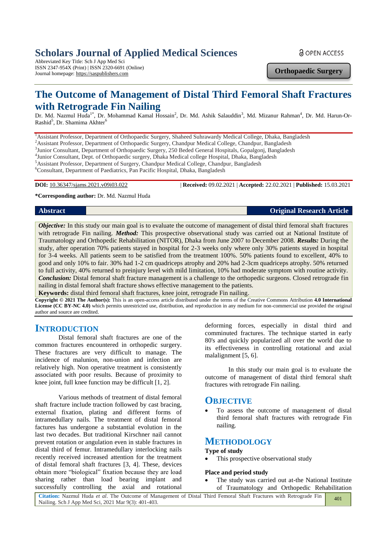# **Scholars Journal of Applied Medical Sciences**

Abbreviated Key Title: Sch J App Med Sci ISSN 2347-954X (Print) | ISSN 2320-6691 (Online) Journal homepage: https://saspublishers.com

**a** OPEN ACCESS

**Orthopaedic Surgery**

# **The Outcome of Management of Distal Third Femoral Shaft Fractures with Retrograde Fin Nailing**

Dr. Md. Nazmul Huda<sup>1\*</sup>, Dr. Mohammad Kamal Hossain<sup>2</sup>, Dr. Md. Ashik Salauddin<sup>3</sup>, Md. Mizanur Rahman<sup>4</sup>, Dr. Md. Harun-Or-Rashid<sup>5</sup>, Dr. Shamima Akhter<sup>6</sup>

<sup>1</sup>Assistant Professor, Department of Orthopaedic Surgery, Shaheed Suhrawardy Medical College, Dhaka, Bangladesh

<sup>2</sup>Assistant Professor, Department of Orthopaedic Surgery, Chandpur Medical College, Chandpur, Bangladesh

<sup>3</sup>Junior Consultant, Department of Orthopaedic Surgery, 250 Beded General Hospitals, Gopalgonj, Bangladesh

4 Junior Consultant, Dept. of Orthopaedic surgery, Dhaka Medical college Hospital, Dhaka, Bangladesh

<sup>5</sup>Assistant Professor, Department of Surgery, Chandpur Medical College, Chandpur, Bangladesh

<sup>6</sup>Consultant, Department of Paediatrics, Pan Pacific Hospital, Dhaka, Bangladesh

**DOI:** 10.36347/sjams.2021.v09i03.022 | **Received:** 09.02.2021 | **Accepted:** 22.02.2021 | **Published:** 15.03.2021

**\*Corresponding author:** Dr. Md. Nazmul Huda

**Abstract Original Research Article**

*Objective:* In this study our main goal is to evaluate the outcome of management of distal third femoral shaft fractures with retrograde Fin nailing. *Method:* This prospective observational study was carried out at National Institute of Traumatology and Orthopedic Rehabilitation (NITOR), Dhaka from June 2007 to December 2008. *Results:* During the study, after operation 70% patients stayed in hospital for 2-3 weeks only where only 30% patients stayed in hospital for 3-4 weeks. All patients seem to be satisfied from the treatment 100%. 50% patients found to excellent, 40% to good and only 10% to fair. 30% had 1-2 cm quadriceps atrophy and 20% had 2-3cm quadriceps atrophy. 50% returned to full activity, 40% returned to preinjury level with mild limitation, 10% had moderate symptom with routine activity. *Conclusion:* Distal femoral shaft fracture management is a challenge to the orthopedic surgeons. Closed retrograde fin nailing in distal femoral shaft fracture shows effective management to the patients.

**Keywords:** distal third femoral shaft fractures, knee joint, retrograde Fin nailing.

**Copyright © 2021 The Author(s):** This is an open-access article distributed under the terms of the Creative Commons Attribution **4.0 International License (CC BY-NC 4.0)** which permits unrestricted use, distribution, and reproduction in any medium for non-commercial use provided the original author and source are credited.

**INTRODUCTION** 

Distal femoral shaft fractures are one of the common fractures encountered in orthopedic surgery. These fractures are very difficult to manage. The incidence of malunion, non-union and infection are relatively high. Non operative treatment is consistently associated with poor results. Because of proximity to knee joint, full knee function may be difficult [1, 2].

Various methods of treatment of distal femoral shaft fracture include traction followed by cast bracing, external fixation, plating and different forms of intramedullary nails. The treatment of distal femoral factures has undergone a substantial evolution in the last two decades. But traditional Kirschner nail cannot prevent rotation or angulation even in stable fractures in distal third of femur. Intramedullary interlocking nails recently received increased attention for the treatment of distal femoral shaft fractures [3, 4]. These, devices obtain more "biological" fixation because they are load sharing rather than load bearing implant and successfully controlling the axial and rotational

deforming forces, especially in distal third and comminuted fractures. The technique started in early 80's and quickly popularized all over the world due to its effectiveness in controlling rotational and axial malalignment [5, 6].

In this study our main goal is to evaluate the outcome of management of distal third femoral shaft fractures with retrograde Fin nailing.

### **OBJECTIVE**

 To assess the outcome of management of distal third femoral shaft fractures with retrograde Fin nailing.

# **METHODOLOGY**

#### **Type of study**

This prospective observational study

#### **Place and period study**

 The study was carried out at-the National Institute of Traumatology and Orthopedic Rehabilitation

**Citation:** Nazmul Huda *et al*. The Outcome of Management of Distal Third Femoral Shaft Fractures with Retrograde Fin Nailing. Sch J App Med Sci, 2021 Mar 9(3): 401-403. 401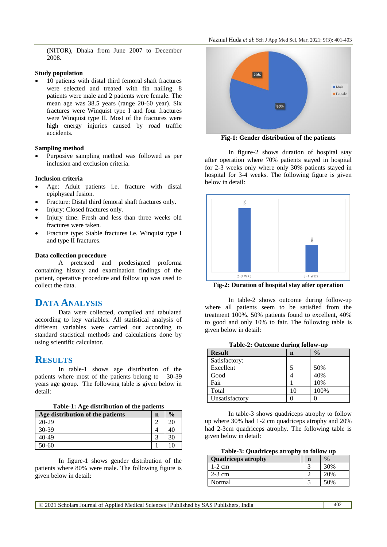(NITOR), Dhaka from June 2007 to December 2008.

#### **Study population**

 10 patients with distal third femoral shaft fractures were selected and treated with fin nailing. 8 patients were male and 2 patients were female. The mean age was 38.5 years (range 20-60 year). Six fractures were Winquist type I and four fractures were Winquist type II. Most of the fractures were high energy injuries caused by road traffic accidents.

#### **Sampling method**

 Purposive sampling method was followed as per inclusion and exclusion criteria.

#### **Inclusion criteria**

- Age: Adult patients i.e. fracture with distal epiphyseal fusion.
- Fracture: Distal third femoral shaft fractures only.
- Injury: Closed fractures only.
- Injury time: Fresh and less than three weeks old fractures were taken.
- Fracture type: Stable fractures i.e. Winquist type I and type II fractures.

#### **Data collection procedure**

A pretested and predesigned proforma containing history and examination findings of the patient, operative procedure and follow up was used to collect the data.

# **DATA ANALYSIS**

Data were collected, compiled and tabulated according to key variables. All statistical analysis of different variables were carried out according to standard statistical methods and calculations done by using scientific calculator.

# **RESULTS**

In table-1 shows age distribution of the patients where most of the patients belong to 30-39 years age group. The following table is given below in detail:

**Table-1: Age distribution of the patients**

| Age distribution of the patients | n | $\frac{0}{0}$ |
|----------------------------------|---|---------------|
| $20 - 29$                        |   |               |
| $30-39$                          |   |               |
| 40-49                            |   |               |
| 50-60                            |   |               |

In figure-1 shows gender distribution of the patients where 80% were male. The following figure is given below in detail:



**Fig-1: Gender distribution of the patients**

In figure-2 shows duration of hospital stay after operation where 70% patients stayed in hospital for 2-3 weeks only where only 30% patients stayed in hospital for 3-4 weeks. The following figure is given below in detail:



**Fig-2: Duration of hospital stay after operation**

In table-2 shows outcome during follow-up where all patients seem to be satisfied from the treatment 100%. 50% patients found to excellent, 40% to good and only 10% to fair. The following table is given below in detail:

|  | Table-2: Outcome during follow-up |  |  |
|--|-----------------------------------|--|--|
|--|-----------------------------------|--|--|

| <b>Result</b>  | -<br>$\mathbf n$ | $\frac{0}{0}$ |
|----------------|------------------|---------------|
| Satisfactory:  |                  |               |
| Excellent      |                  | 50%           |
| Good           |                  | 40%           |
| Fair           |                  | 10%           |
| Total          | 10               | 100%          |
| Unsatisfactory |                  |               |

In table-3 shows quadriceps atrophy to follow up where 30% had 1-2 cm quadriceps atrophy and 20% had 2-3cm quadriceps atrophy. The following table is given below in detail:

| Table-3: Quadriceps atrophy to follow up |  |  |
|------------------------------------------|--|--|
|------------------------------------------|--|--|

| <b>Quadriceps atrophy</b> | n | $\frac{1}{2}$ |
|---------------------------|---|---------------|
| $1-2$ cm                  |   | 30%           |
| $2-3$ cm                  |   | 20\%          |
| Normal                    |   |               |

© 2021 Scholars Journal of Applied Medical Sciences | Published by SAS Publishers, India 402